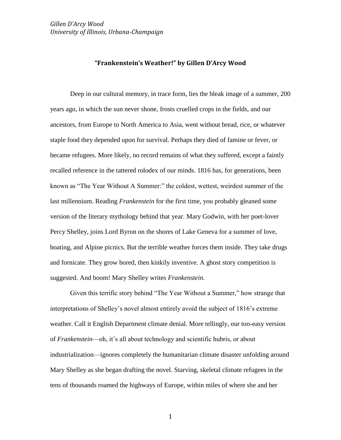#### **"Frankenstein's Weather!" by Gillen D'Arcy Wood**

Deep in our cultural memory, in trace form, lies the bleak image of a summer, 200 years ago, in which the sun never shone, frosts cruelled crops in the fields, and our ancestors, from Europe to North America to Asia, went without bread, rice, or whatever staple food they depended upon for survival. Perhaps they died of famine or fever, or became refugees. More likely, no record remains of what they suffered, except a faintly recalled reference in the tattered rolodex of our minds. 1816 has, for generations, been known as "The Year Without A Summer:" the coldest, wettest, weirdest summer of the last millennium. Reading *Frankenstein* for the first time, you probably gleaned some version of the literary mythology behind that year. Mary Godwin, with her poet-lover Percy Shelley, joins Lord Byron on the shores of Lake Geneva for a summer of love, boating, and Alpine picnics. But the terrible weather forces them inside. They take drugs and fornicate. They grow bored, then kinkily inventive. A ghost story competition is suggested. And boom! Mary Shelley writes *Frankenstein.*

Given this terrific story behind "The Year Without a Summer," how strange that interpretations of Shelley's novel almost entirely avoid the subject of 1816's extreme weather. Call it English Department climate denial. More tellingly, our too-easy version of *Frankenstein*—oh, it's all about technology and scientific hubris, or about industrialization—ignores completely the humanitarian climate disaster unfolding around Mary Shelley as she began drafting the novel. Starving, skeletal climate refugees in the tens of thousands roamed the highways of Europe, within miles of where she and her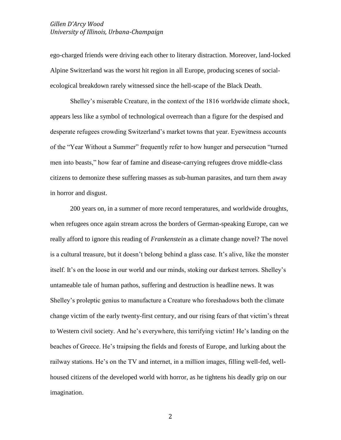ego-charged friends were driving each other to literary distraction. Moreover, land-locked Alpine Switzerland was the worst hit region in all Europe, producing scenes of socialecological breakdown rarely witnessed since the hell-scape of the Black Death.

Shelley's miserable Creature, in the context of the 1816 worldwide climate shock, appears less like a symbol of technological overreach than a figure for the despised and desperate refugees crowding Switzerland's market towns that year. Eyewitness accounts of the "Year Without a Summer" frequently refer to how hunger and persecution "turned men into beasts," how fear of famine and disease-carrying refugees drove middle-class citizens to demonize these suffering masses as sub-human parasites, and turn them away in horror and disgust.

200 years on, in a summer of more record temperatures, and worldwide droughts, when refugees once again stream across the borders of German-speaking Europe, can we really afford to ignore this reading of *Frankenstein* as a climate change novel? The novel is a cultural treasure, but it doesn't belong behind a glass case. It's alive, like the monster itself. It's on the loose in our world and our minds, stoking our darkest terrors. Shelley's untameable tale of human pathos, suffering and destruction is headline news. It was Shelley's proleptic genius to manufacture a Creature who foreshadows both the climate change victim of the early twenty-first century, and our rising fears of that victim's threat to Western civil society. And he's everywhere, this terrifying victim! He's landing on the beaches of Greece. He's traipsing the fields and forests of Europe, and lurking about the railway stations. He's on the TV and internet, in a million images, filling well-fed, wellhoused citizens of the developed world with horror, as he tightens his deadly grip on our imagination.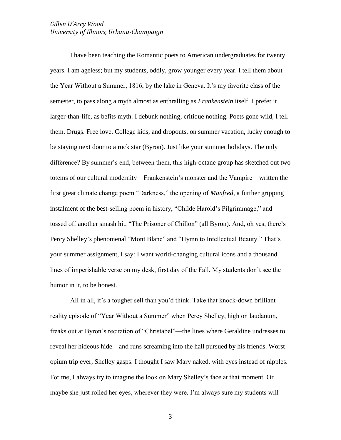I have been teaching the Romantic poets to American undergraduates for twenty years. I am ageless; but my students, oddly, grow younger every year. I tell them about the Year Without a Summer, 1816, by the lake in Geneva. It's my favorite class of the semester, to pass along a myth almost as enthralling as *Frankenstein* itself. I prefer it larger-than-life, as befits myth. I debunk nothing, critique nothing. Poets gone wild, I tell them. Drugs. Free love. College kids, and dropouts, on summer vacation, lucky enough to be staying next door to a rock star (Byron). Just like your summer holidays. The only difference? By summer's end, between them, this high-octane group has sketched out two totems of our cultural modernity—Frankenstein's monster and the Vampire—written the first great climate change poem "Darkness," the opening of *Manfred*, a further gripping instalment of the best-selling poem in history, "Childe Harold's Pilgrimmage," and tossed off another smash hit, "The Prisoner of Chillon" (all Byron). And, oh yes, there's Percy Shelley's phenomenal "Mont Blanc" and "Hymn to Intellectual Beauty." That's your summer assignment, I say: I want world-changing cultural icons and a thousand lines of imperishable verse on my desk, first day of the Fall. My students don't see the humor in it, to be honest.

All in all, it's a tougher sell than you'd think. Take that knock-down brilliant reality episode of "Year Without a Summer" when Percy Shelley, high on laudanum, freaks out at Byron's recitation of "Christabel"—the lines where Geraldine undresses to reveal her hideous hide—and runs screaming into the hall pursued by his friends. Worst opium trip ever, Shelley gasps. I thought I saw Mary naked, with eyes instead of nipples. For me, I always try to imagine the look on Mary Shelley's face at that moment. Or maybe she just rolled her eyes, wherever they were. I'm always sure my students will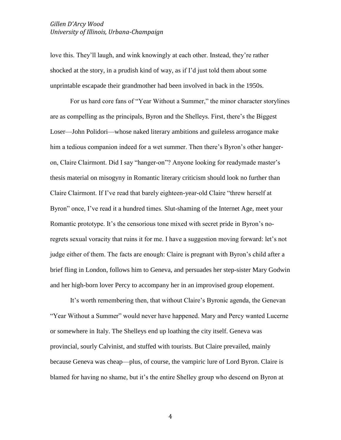love this. They'll laugh, and wink knowingly at each other. Instead, they're rather shocked at the story, in a prudish kind of way, as if I'd just told them about some unprintable escapade their grandmother had been involved in back in the 1950s.

For us hard core fans of "Year Without a Summer," the minor character storylines are as compelling as the principals, Byron and the Shelleys. First, there's the Biggest Loser—John Polidori—whose naked literary ambitions and guileless arrogance make him a tedious companion indeed for a wet summer. Then there's Byron's other hangeron, Claire Clairmont. Did I say "hanger-on"? Anyone looking for readymade master's thesis material on misogyny in Romantic literary criticism should look no further than Claire Clairmont. If I've read that barely eighteen-year-old Claire "threw herself at Byron" once, I've read it a hundred times. Slut-shaming of the Internet Age, meet your Romantic prototype. It's the censorious tone mixed with secret pride in Byron's noregrets sexual voracity that ruins it for me. I have a suggestion moving forward: let's not judge either of them. The facts are enough: Claire is pregnant with Byron's child after a brief fling in London, follows him to Geneva, and persuades her step-sister Mary Godwin and her high-born lover Percy to accompany her in an improvised group elopement.

It's worth remembering then, that without Claire's Byronic agenda, the Genevan "Year Without a Summer" would never have happened. Mary and Percy wanted Lucerne or somewhere in Italy. The Shelleys end up loathing the city itself. Geneva was provincial, sourly Calvinist, and stuffed with tourists. But Claire prevailed, mainly because Geneva was cheap—plus, of course, the vampiric lure of Lord Byron. Claire is blamed for having no shame, but it's the entire Shelley group who descend on Byron at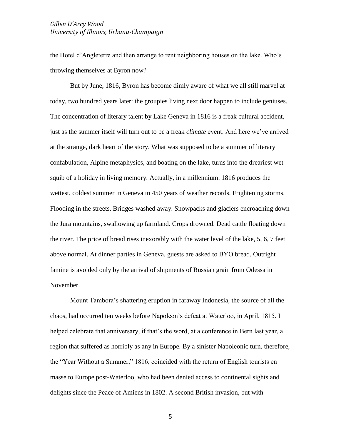the Hotel d'Angleterre and then arrange to rent neighboring houses on the lake. Who's throwing themselves at Byron now?

But by June, 1816, Byron has become dimly aware of what we all still marvel at today, two hundred years later: the groupies living next door happen to include geniuses. The concentration of literary talent by Lake Geneva in 1816 is a freak cultural accident, just as the summer itself will turn out to be a freak *climate* event. And here we've arrived at the strange, dark heart of the story. What was supposed to be a summer of literary confabulation, Alpine metaphysics, and boating on the lake, turns into the dreariest wet squib of a holiday in living memory. Actually, in a millennium. 1816 produces the wettest, coldest summer in Geneva in 450 years of weather records. Frightening storms. Flooding in the streets. Bridges washed away. Snowpacks and glaciers encroaching down the Jura mountains, swallowing up farmland. Crops drowned. Dead cattle floating down the river. The price of bread rises inexorably with the water level of the lake, 5, 6, 7 feet above normal. At dinner parties in Geneva, guests are asked to BYO bread. Outright famine is avoided only by the arrival of shipments of Russian grain from Odessa in November.

Mount Tambora's shattering eruption in faraway Indonesia, the source of all the chaos, had occurred ten weeks before Napoleon's defeat at Waterloo, in April, 1815. I helped celebrate that anniversary, if that's the word, at a conference in Bern last year, a region that suffered as horribly as any in Europe. By a sinister Napoleonic turn, therefore, the "Year Without a Summer," 1816, coincided with the return of English tourists en masse to Europe post-Waterloo, who had been denied access to continental sights and delights since the Peace of Amiens in 1802. A second British invasion, but with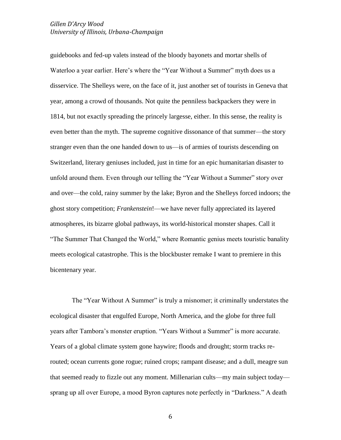guidebooks and fed-up valets instead of the bloody bayonets and mortar shells of Waterloo a year earlier. Here's where the "Year Without a Summer" myth does us a disservice. The Shelleys were, on the face of it, just another set of tourists in Geneva that year, among a crowd of thousands. Not quite the penniless backpackers they were in 1814, but not exactly spreading the princely largesse, either. In this sense, the reality is even better than the myth. The supreme cognitive dissonance of that summer—the story stranger even than the one handed down to us—is of armies of tourists descending on Switzerland, literary geniuses included, just in time for an epic humanitarian disaster to unfold around them. Even through our telling the "Year Without a Summer" story over and over—the cold, rainy summer by the lake; Byron and the Shelleys forced indoors; the ghost story competition; *Frankenstein*!—we have never fully appreciated its layered atmospheres, its bizarre global pathways, its world-historical monster shapes. Call it "The Summer That Changed the World," where Romantic genius meets touristic banality meets ecological catastrophe. This is the blockbuster remake I want to premiere in this bicentenary year.

The "Year Without A Summer" is truly a misnomer; it criminally understates the ecological disaster that engulfed Europe, North America, and the globe for three full years after Tambora's monster eruption. "Years Without a Summer" is more accurate. Years of a global climate system gone haywire; floods and drought; storm tracks rerouted; ocean currents gone rogue; ruined crops; rampant disease; and a dull, meagre sun that seemed ready to fizzle out any moment. Millenarian cults—my main subject today sprang up all over Europe, a mood Byron captures note perfectly in "Darkness." A death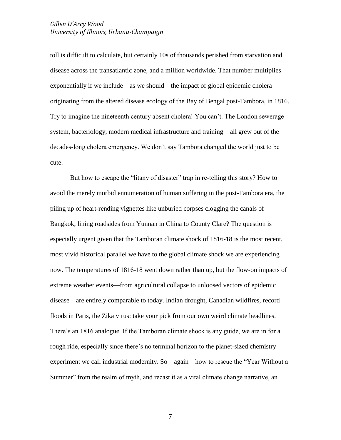toll is difficult to calculate, but certainly 10s of thousands perished from starvation and disease across the transatlantic zone, and a million worldwide. That number multiplies exponentially if we include—as we should—the impact of global epidemic cholera originating from the altered disease ecology of the Bay of Bengal post-Tambora, in 1816. Try to imagine the nineteenth century absent cholera! You can't. The London sewerage system, bacteriology, modern medical infrastructure and training—all grew out of the decades-long cholera emergency. We don't say Tambora changed the world just to be cute.

But how to escape the "litany of disaster" trap in re-telling this story? How to avoid the merely morbid ennumeration of human suffering in the post-Tambora era, the piling up of heart-rending vignettes like unburied corpses clogging the canals of Bangkok, lining roadsides from Yunnan in China to County Clare? The question is especially urgent given that the Tamboran climate shock of 1816-18 is the most recent, most vivid historical parallel we have to the global climate shock we are experiencing now. The temperatures of 1816-18 went down rather than up, but the flow-on impacts of extreme weather events—from agricultural collapse to unloosed vectors of epidemic disease—are entirely comparable to today. Indian drought, Canadian wildfires, record floods in Paris, the Zika virus: take your pick from our own weird climate headlines. There's an 1816 analogue. If the Tamboran climate shock is any guide, we are in for a rough ride, especially since there's no terminal horizon to the planet-sized chemistry experiment we call industrial modernity. So—again—how to rescue the "Year Without a Summer" from the realm of myth, and recast it as a vital climate change narrative, an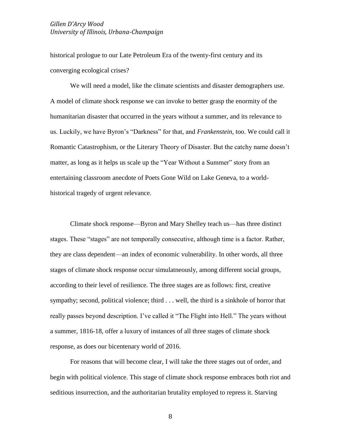historical prologue to our Late Petroleum Era of the twenty-first century and its converging ecological crises?

We will need a model, like the climate scientists and disaster demographers use. A model of climate shock response we can invoke to better grasp the enormity of the humanitarian disaster that occurred in the years without a summer, and its relevance to us. Luckily, we have Byron's "Darkness" for that, and *Frankenstein*, too. We could call it Romantic Catastrophism, or the Literary Theory of Disaster. But the catchy name doesn't matter, as long as it helps us scale up the "Year Without a Summer" story from an entertaining classroom anecdote of Poets Gone Wild on Lake Geneva, to a worldhistorical tragedy of urgent relevance.

Climate shock response—Byron and Mary Shelley teach us—has three distinct stages. These "stages" are not temporally consecutive, although time is a factor. Rather, they are class dependent—an index of economic vulnerability. In other words, all three stages of climate shock response occur simulatneously, among different social groups, according to their level of resilience. The three stages are as follows: first, creative sympathy; second, political violence; third . . . well, the third is a sinkhole of horror that really passes beyond description. I've called it "The Flight into Hell." The years without a summer, 1816-18, offer a luxury of instances of all three stages of climate shock response, as does our bicentenary world of 2016.

For reasons that will become clear, I will take the three stages out of order, and begin with political violence. This stage of climate shock response embraces both riot and seditious insurrection, and the authoritarian brutality employed to repress it. Starving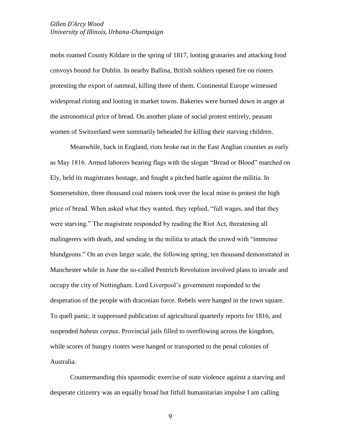mobs roamed County Kildare in the spring of 1817, looting granaries and attacking food convoys bound for Dublin. In nearby Ballina, British soldiers opened fire on rioters protesting the export of oatmeal, killing three of them. Continental Europe witnessed widespread rioting and looting in market towns. Bakeries were burned down in anger at the astronomical price of bread. On another plane of social protest entirely, peasant women of Switzerland were summarily beheaded for killing their starving children.

Meanwhile, back in England, riots broke out in the East Anglian counties as early as May 1816. Armed laborers bearing flags with the slogan "Bread or Blood" marched on Ely, held its magistrates hostage, and fought a pitched battle against the militia. In Somersetshire, three thousand coal miners took over the local mine to protest the high price of bread. When asked what they wanted, they replied, "full wages, and that they were starving." The magistrate responded by reading the Riot Act, threatening all malingerers with death, and sending in the militia to attack the crowd with "immense blundgeons." On an even larger scale, the following spring, ten thousand demonstrated in Manchester while in June the so-called Pentrich Revolution involved plans to invade and occupy the city of Nottingham. Lord Liverpool's government responded to the desperation of the people with draconian force. Rebels were hanged in the town square. To quell panic, it suppressed publication of agricultural quarterly reports for 1816, and suspended *habeas corpus*. Provincial jails filled to overflowing across the kingdom, while scores of hungry rioters were hanged or transported to the penal colonies of Australia.

Countermanding this spasmodic exercise of state violence against a starving and desperate citizenry was an equally broad but fitfull humanitarian impulse I am calling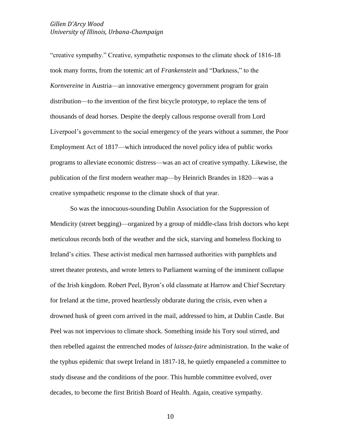"creative sympathy." Creative, sympathetic responses to the climate shock of 1816-18 took many forms, from the totemic art of *Frankenstein* and "Darkness," to the *Kornvereine* in Austria—an innovative emergency government program for grain distribution—to the invention of the first bicycle prototype, to replace the tens of thousands of dead horses. Despite the deeply callous response overall from Lord Liverpool's government to the social emergency of the years without a summer, the Poor Employment Act of 1817—which introduced the novel policy idea of public works programs to alleviate economic distress—was an act of creative sympathy. Likewise, the publication of the first modern weather map—by Heinrich Brandes in 1820—was a creative sympathetic response to the climate shock of that year.

So was the innocuous-sounding Dublin Association for the Suppression of Mendicity (street begging)—organized by a group of middle-class Irish doctors who kept meticulous records both of the weather and the sick, starving and homeless flocking to Ireland's cities. These activist medical men harrassed authorities with pamphlets and street theater protests, and wrote letters to Parliament warning of the imminent collapse of the Irish kingdom. Robert Peel, Byron's old classmate at Harrow and Chief Secretary for Ireland at the time, proved heartlessly obdurate during the crisis, even when a drowned husk of green corn arrived in the mail, addressed to him, at Dublin Castle. But Peel was not impervious to climate shock. Something inside his Tory soul stirred, and then rebelled against the entrenched modes of *laissez-faire* administration. In the wake of the typhus epidemic that swept Ireland in 1817-18, he quietly empaneled a committee to study disease and the conditions of the poor. This humble committee evolved, over decades, to become the first British Board of Health. Again, creative sympathy.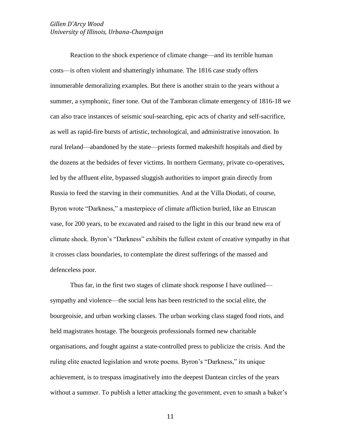Reaction to the shock experience of climate change—and its terrible human costs—is often violent and shatteringly inhumane. The 1816 case study offers innumerable demoralizing examples. But there is another strain to the years without a summer, a symphonic, finer tone. Out of the Tamboran climate emergency of 1816-18 we can also trace instances of seismic soul-searching, epic acts of charity and self-sacrifice, as well as rapid-fire bursts of artistic, technological, and administrative innovation. In rural Ireland—abandoned by the state—priests formed makeshift hospitals and died by the dozens at the bedsides of fever victims. In northern Germany, private co-operatives, led by the affluent elite, bypassed sluggish authorities to import grain directly from Russia to feed the starving in their communities. And at the Villa Diodati, of course, Byron wrote "Darkness," a masterpiece of climate affliction buried, like an Etruscan vase, for 200 years, to be excavated and raised to the light in this our brand new era of climate shock. Byron's "Darkness" exhibits the fullest extent of creative sympathy in that it crosses class boundaries, to contemplate the direst sufferings of the massed and defenceless poor.

Thus far, in the first two stages of climate shock response I have outlined sympathy and violence—the social lens has been restricted to the social elite, the bourgeoisie, and urban working classes. The urban working class staged food riots, and held magistrates hostage. The bourgeois professionals formed new charitable organisations, and fought against a state-controlled press to publicize the crisis. And the ruling elite enacted legislation and wrote poems. Byron's "Darkness," its unique achievement, is to trespass imaginatively into the deepest Dantean circles of the years without a summer. To publish a letter attacking the government, even to smash a baker's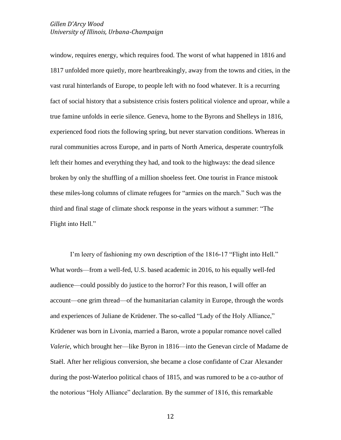window, requires energy, which requires food. The worst of what happened in 1816 and 1817 unfolded more quietly, more heartbreakingly, away from the towns and cities, in the vast rural hinterlands of Europe, to people left with no food whatever. It is a recurring fact of social history that a subsistence crisis fosters political violence and uproar, while a true famine unfolds in eerie silence. Geneva, home to the Byrons and Shelleys in 1816, experienced food riots the following spring, but never starvation conditions. Whereas in rural communities across Europe, and in parts of North America, desperate countryfolk left their homes and everything they had, and took to the highways: the dead silence broken by only the shuffling of a million shoeless feet. One tourist in France mistook these miles-long columns of climate refugees for "armies on the march." Such was the third and final stage of climate shock response in the years without a summer: "The Flight into Hell."

I'm leery of fashioning my own description of the 1816-17 "Flight into Hell." What words—from a well-fed, U.S. based academic in 2016, to his equally well-fed audience—could possibly do justice to the horror? For this reason, I will offer an account—one grim thread—of the humanitarian calamity in Europe, through the words and experiences of Juliane de Krüdener. The so-called "Lady of the Holy Alliance," Krüdener was born in Livonia, married a Baron, wrote a popular romance novel called *Valerie*, which brought her—like Byron in 1816—into the Genevan circle of Madame de Staël. After her religious conversion, she became a close confidante of Czar Alexander during the post-Waterloo political chaos of 1815, and was rumored to be a co-author of the notorious "Holy Alliance" declaration. By the summer of 1816, this remarkable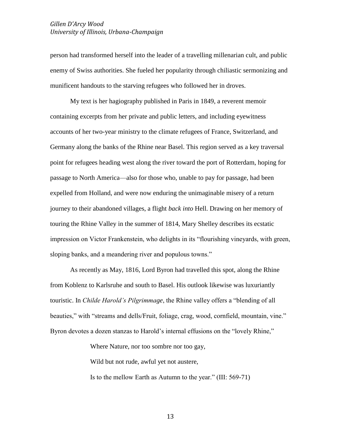person had transformed herself into the leader of a travelling millenarian cult, and public enemy of Swiss authorities. She fueled her popularity through chiliastic sermonizing and munificent handouts to the starving refugees who followed her in droves.

My text is her hagiography published in Paris in 1849, a reverent memoir containing excerpts from her private and public letters, and including eyewitness accounts of her two-year ministry to the climate refugees of France, Switzerland, and Germany along the banks of the Rhine near Basel. This region served as a key traversal point for refugees heading west along the river toward the port of Rotterdam, hoping for passage to North America—also for those who, unable to pay for passage, had been expelled from Holland, and were now enduring the unimaginable misery of a return journey to their abandoned villages, a flight *back into* Hell. Drawing on her memory of touring the Rhine Valley in the summer of 1814, Mary Shelley describes its ecstatic impression on Victor Frankenstein, who delights in its "flourishing vineyards, with green, sloping banks, and a meandering river and populous towns."

As recently as May, 1816, Lord Byron had travelled this spot, along the Rhine from Koblenz to Karlsruhe and south to Basel. His outlook likewise was luxuriantly touristic. In *Childe Harold's Pilgrimmage*, the Rhine valley offers a "blending of all beauties," with "streams and dells/Fruit, foliage, crag, wood, cornfield, mountain, vine." Byron devotes a dozen stanzas to Harold's internal effusions on the "lovely Rhine,"

Where Nature, nor too sombre nor too gay,

Wild but not rude, awful yet not austere,

Is to the mellow Earth as Autumn to the year." (III: 569-71)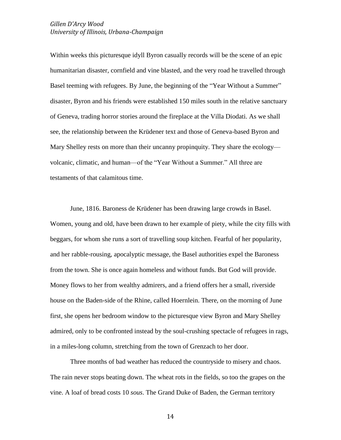Within weeks this picturesque idyll Byron casually records will be the scene of an epic humanitarian disaster, cornfield and vine blasted, and the very road he travelled through Basel teeming with refugees. By June, the beginning of the "Year Without a Summer" disaster, Byron and his friends were established 150 miles south in the relative sanctuary of Geneva, trading horror stories around the fireplace at the Villa Diodati. As we shall see, the relationship between the Krüdener text and those of Geneva-based Byron and Mary Shelley rests on more than their uncanny propinquity. They share the ecology volcanic, climatic, and human—of the "Year Without a Summer." All three are testaments of that calamitous time.

June, 1816. Baroness de Krüdener has been drawing large crowds in Basel. Women, young and old, have been drawn to her example of piety, while the city fills with beggars, for whom she runs a sort of travelling soup kitchen. Fearful of her popularity, and her rabble-rousing, apocalyptic message, the Basel authorities expel the Baroness from the town. She is once again homeless and without funds. But God will provide. Money flows to her from wealthy admirers, and a friend offers her a small, riverside house on the Baden-side of the Rhine, called Hoernlein. There, on the morning of June first, she opens her bedroom window to the picturesque view Byron and Mary Shelley admired, only to be confronted instead by the soul-crushing spectacle of refugees in rags, in a miles-long column, stretching from the town of Grenzach to her door.

Three months of bad weather has reduced the countryside to misery and chaos. The rain never stops beating down. The wheat rots in the fields, so too the grapes on the vine. A loaf of bread costs 10 *sous*. The Grand Duke of Baden, the German territory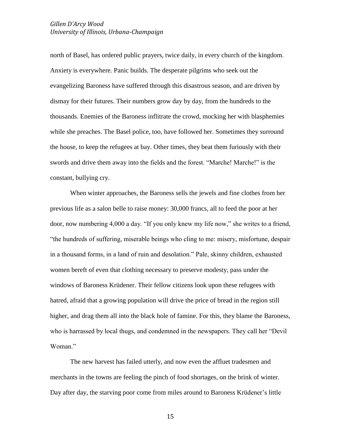north of Basel, has ordered public prayers, twice daily, in every church of the kingdom. Anxiety is everywhere. Panic builds. The desperate pilgrims who seek out the evangelizing Baroness have suffered through this disastrous season, and are driven by dismay for their futures. Their numbers grow day by day, from the hundreds to the thousands. Enemies of the Baroness inflitrate the crowd, mocking her with blasphemies while she preaches. The Basel police, too, have followed her. Sometimes they surround the house, to keep the refugees at bay. Other times, they beat them furiously with their swords and drive them away into the fields and the forest. "Marche! Marche!" is the constant, bullying cry.

When winter approaches, the Baroness sells the jewels and fine clothes from her previous life as a salon belle to raise money: 30,000 francs, all to feed the poor at her door, now numbering 4,000 a day. "If you only knew my life now," she writes to a friend, "the hundreds of suffering, miserable beings who cling to me: misery, misfortune, despair in a thousand forms, in a land of ruin and desolation." Pale, skinny children, exhausted women bereft of even that clothing necessary to preserve modesty, pass under the windows of Baroness Krüdener. Their fellow citizens look upon these refugees with hatred, afraid that a growing population will drive the price of bread in the region still higher, and drag them all into the black hole of famine. For this, they blame the Baroness, who is harrassed by local thugs, and condemned in the newspapers. They call her "Devil Woman."

The new harvest has failed utterly, and now even the affluet tradesmen and merchants in the towns are feeling the pinch of food shortages, on the brink of winter. Day after day, the starving poor come from miles around to Baroness Krüdener's little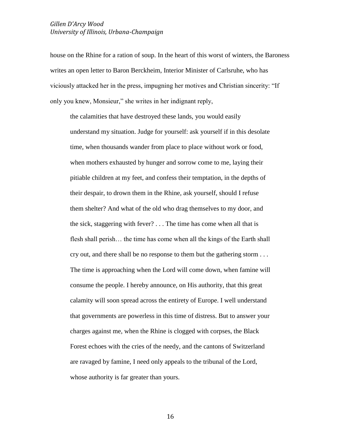house on the Rhine for a ration of soup. In the heart of this worst of winters, the Baroness writes an open letter to Baron Berckheim, Interior Minister of Carlsruhe, who has viciously attacked her in the press, impugning her motives and Christian sincerity: "If only you knew, Monsieur," she writes in her indignant reply,

the calamities that have destroyed these lands, you would easily understand my situation. Judge for yourself: ask yourself if in this desolate time, when thousands wander from place to place without work or food, when mothers exhausted by hunger and sorrow come to me, laying their pitiable children at my feet, and confess their temptation, in the depths of their despair, to drown them in the Rhine, ask yourself, should I refuse them shelter? And what of the old who drag themselves to my door, and the sick, staggering with fever? . . . The time has come when all that is flesh shall perish… the time has come when all the kings of the Earth shall cry out, and there shall be no response to them but the gathering storm . . . The time is approaching when the Lord will come down, when famine will consume the people. I hereby announce, on His authority, that this great calamity will soon spread across the entirety of Europe. I well understand that governments are powerless in this time of distress. But to answer your charges against me, when the Rhine is clogged with corpses, the Black Forest echoes with the cries of the needy, and the cantons of Switzerland are ravaged by famine, I need only appeals to the tribunal of the Lord, whose authority is far greater than yours.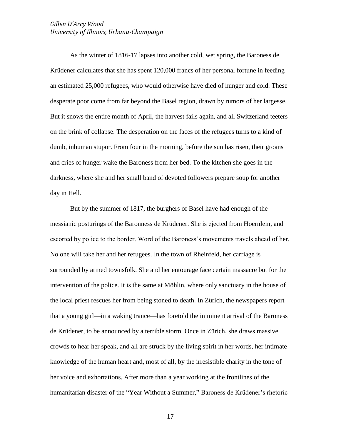As the winter of 1816-17 lapses into another cold, wet spring, the Baroness de Krüdener calculates that she has spent 120,000 francs of her personal fortune in feeding an estimated 25,000 refugees, who would otherwise have died of hunger and cold. These desperate poor come from far beyond the Basel region, drawn by rumors of her largesse. But it snows the entire month of April, the harvest fails again, and all Switzerland teeters on the brink of collapse. The desperation on the faces of the refugees turns to a kind of dumb, inhuman stupor. From four in the morning, before the sun has risen, their groans and cries of hunger wake the Baroness from her bed. To the kitchen she goes in the darkness, where she and her small band of devoted followers prepare soup for another day in Hell.

But by the summer of 1817, the burghers of Basel have had enough of the messianic posturings of the Baronness de Krüdener. She is ejected from Hoernlein, and escorted by police to the border. Word of the Baroness's movements travels ahead of her. No one will take her and her refugees. In the town of Rheinfeld, her carriage is surrounded by armed townsfolk. She and her entourage face certain massacre but for the intervention of the police. It is the same at Möhlin, where only sanctuary in the house of the local priest rescues her from being stoned to death. In Zürich, the newspapers report that a young girl—in a waking trance—has foretold the imminent arrival of the Baroness de Krüdener, to be announced by a terrible storm. Once in Zürich, she draws massive crowds to hear her speak, and all are struck by the living spirit in her words, her intimate knowledge of the human heart and, most of all, by the irresistible charity in the tone of her voice and exhortations. After more than a year working at the frontlines of the humanitarian disaster of the "Year Without a Summer," Baroness de Krüdener's rhetoric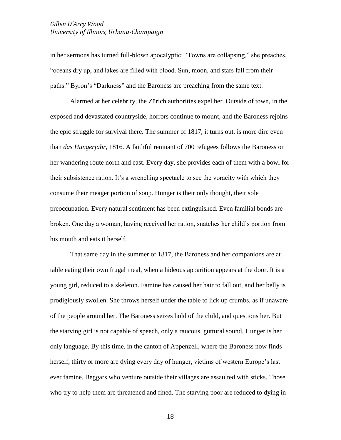in her sermons has turned full-blown apocalyptic: "Towns are collapsing," she preaches, "oceans dry up, and lakes are filled with blood. Sun, moon, and stars fall from their paths." Byron's "Darkness" and the Baroness are preaching from the same text.

Alarmed at her celebrity, the Zürich authorities expel her. Outside of town, in the exposed and devastated countryside, horrors continue to mount, and the Baroness rejoins the epic struggle for survival there. The summer of 1817, it turns out, is more dire even than *das Hungerjahr*, 1816. A faithful remnant of 700 refugees follows the Baroness on her wandering route north and east. Every day, she provides each of them with a bowl for their subsistence ration. It's a wrenching spectacle to see the voracity with which they consume their meager portion of soup. Hunger is their only thought, their sole preoccupation. Every natural sentiment has been extinguished. Even familial bonds are broken. One day a woman, having received her ration, snatches her child's portion from his mouth and eats it herself.

That same day in the summer of 1817, the Baroness and her companions are at table eating their own frugal meal, when a hideous apparition appears at the door. It is a young girl, reduced to a skeleton. Famine has caused her hair to fall out, and her belly is prodigiously swollen. She throws herself under the table to lick up crumbs, as if unaware of the people around her. The Baroness seizes hold of the child, and questions her. But the starving girl is not capable of speech, only a raucous, guttural sound. Hunger is her only language. By this time, in the canton of Appenzell, where the Baroness now finds herself, thirty or more are dying every day of hunger, victims of western Europe's last ever famine. Beggars who venture outside their villages are assaulted with sticks. Those who try to help them are threatened and fined. The starving poor are reduced to dying in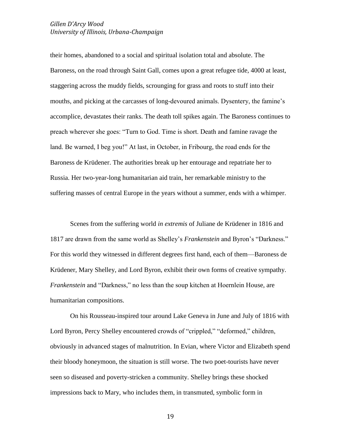their homes, abandoned to a social and spiritual isolation total and absolute. The Baroness, on the road through Saint Gall, comes upon a great refugee tide, 4000 at least, staggering across the muddy fields, scrounging for grass and roots to stuff into their mouths, and picking at the carcasses of long-devoured animals. Dysentery, the famine's accomplice, devastates their ranks. The death toll spikes again. The Baroness continues to preach wherever she goes: "Turn to God. Time is short. Death and famine ravage the land. Be warned, I beg you!" At last, in October, in Fribourg, the road ends for the Baroness de Krüdener. The authorities break up her entourage and repatriate her to Russia. Her two-year-long humanitarian aid train, her remarkable ministry to the suffering masses of central Europe in the years without a summer, ends with a whimper.

Scenes from the suffering world *in extremis* of Juliane de Krüdener in 1816 and 1817 are drawn from the same world as Shelley's *Frankenstein* and Byron's "Darkness." For this world they witnessed in different degrees first hand, each of them—Baroness de Krüdener, Mary Shelley, and Lord Byron, exhibit their own forms of creative sympathy. *Frankenstein* and "Darkness," no less than the soup kitchen at Hoernlein House, are humanitarian compositions.

On his Rousseau-inspired tour around Lake Geneva in June and July of 1816 with Lord Byron, Percy Shelley encountered crowds of "crippled," "deformed," children, obviously in advanced stages of malnutrition. In Evian, where Victor and Elizabeth spend their bloody honeymoon, the situation is still worse. The two poet-tourists have never seen so diseased and poverty-stricken a community. Shelley brings these shocked impressions back to Mary, who includes them, in transmuted, symbolic form in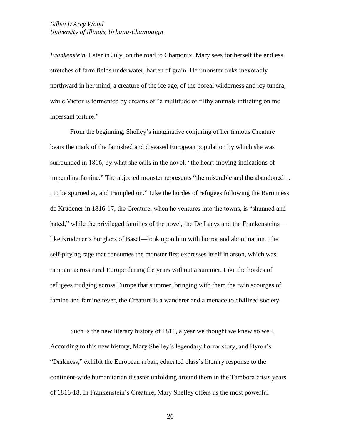*Frankenstein*. Later in July, on the road to Chamonix, Mary sees for herself the endless stretches of farm fields underwater, barren of grain. Her monster treks inexorably northward in her mind, a creature of the ice age, of the boreal wilderness and icy tundra, while Victor is tormented by dreams of "a multitude of filthy animals inflicting on me incessant torture."

From the beginning, Shelley's imaginative conjuring of her famous Creature bears the mark of the famished and diseased European population by which she was surrounded in 1816, by what she calls in the novel, "the heart-moving indications of impending famine." The abjected monster represents "the miserable and the abandoned . . . to be spurned at, and trampled on." Like the hordes of refugees following the Baronness de Krüdener in 1816-17, the Creature, when he ventures into the towns, is "shunned and hated," while the privileged families of the novel, the De Lacys and the Frankensteins like Krüdener's burghers of Basel—look upon him with horror and abomination. The self-pitying rage that consumes the monster first expresses itself in arson, which was rampant across rural Europe during the years without a summer. Like the hordes of refugees trudging across Europe that summer, bringing with them the twin scourges of famine and famine fever, the Creature is a wanderer and a menace to civilized society.

Such is the new literary history of 1816, a year we thought we knew so well. According to this new history, Mary Shelley's legendary horror story, and Byron's "Darkness," exhibit the European urban, educated class's literary response to the continent-wide humanitarian disaster unfolding around them in the Tambora crisis years of 1816-18. In Frankenstein's Creature, Mary Shelley offers us the most powerful